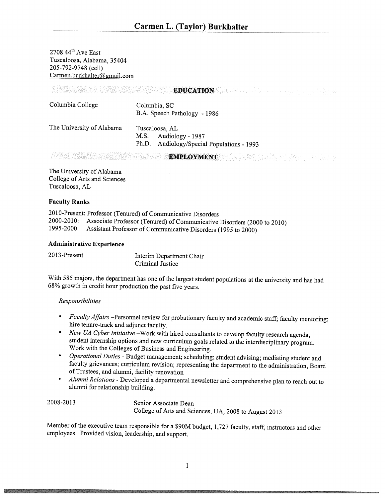$2708$  44<sup>th</sup> Ave East Tuscaloosa, Alabama, 35404 205-792-9748 (cell) Carmen.burkhalter@gmail.com

|                           |                                                                                          | the control of the control of the control of the con- |
|---------------------------|------------------------------------------------------------------------------------------|-------------------------------------------------------|
| Columbia College          | Columbia, SC<br>B.A. Speech Pathology - 1986                                             |                                                       |
| The University of Alabama | Tuscaloosa, AL<br>Audiology - 1987<br>M.S.<br>Ph.D. Audiology/Special Populations - 1993 |                                                       |
|                           |                                                                                          |                                                       |

EMPLOYMENT

EDUCATION WELL AND THE RESIDENCE OF REAL PROPERTY.

The University of Alabama College of Arts and Sciences Tuscaloosa, AL

#### Faculty Ranks

2010-Present: Professor (Tenured) of Communicative Disorders 2000-2010: Associate Professor (Tenured) of Communicative Disorders (2000 to 2010) 1995-2000: Assistant Professor of Communicative Disorders (1995 to 2000)

#### Administrative Experience

2013-Present Interim Department Chair Criminal Justice

With <sup>585</sup> majors, the department has one of the largest student populations at the university and has had 68% growth in credit hour production the past five years.

### Responsibilities

- • Faculty Affairs —Personnel review for probationary faculty and academic staff; faculty mentoring; hire tenure-track and adjunct faculty.
- New UA Cyber Initiative –Work with hired consultants to develop faculty research agenda, student internship options and new curriculum goals related to the interdisciplinary program. Work with the Colleges of Business and Engineering.
- *Operational Duties* Budget management; scheduling; student advising; mediating student and faculty grievances; curriculum revision; representing the department to the administration, Board of Trustees, and alumni, facility renovation
- • Alumni Relations - Developed <sup>a</sup> departmental newsletter and comprehensive <sup>p</sup>lan to reach out to alumni for relationship building.

2008-2013 Senior Associate Dean College of Arts and Sciences, UA, <sup>2008</sup> to August <sup>2013</sup>

Member of the executive team responsible for <sup>a</sup> \$90M budget, 1,727 faculty, staff, instructors and other employees. Provided vision, leadership, and support.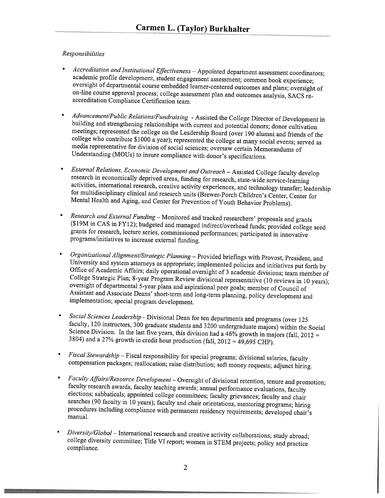## Responsibilities

- Accreditation and Institutional Effectiveness Appointed department assessment coordinators; academic profile development, student engagement assessment; common book experience; oversight of departmental course embedded learner-centered outcomes and <sup>p</sup>lans; oversight of on-line course approval process; college assessment <sup>p</sup>lan and outcomes analysis, SACS re accreditation Compliance Certification team.
- Advancement/Public Relations/Fundraising Assisted the College Director of Development in building and strengthening relationships with current and potential donors; donor cultivation meetings; represented the college on the Leadership Board (over 190 alumni and friends of the college who contribute \$1000 a year); represented the college at many social events; served as media representative for division of social sciences; oversaw certain Memorandums of Understanding (MOUs) to insure compliance with donor's specifications.
- • External Relations, Economic Development and Outreach — Assisted College faculty develop research in economically deprived areas, funding for research, state-wide service-learning activities, international research, creative activity experiences, and technology transfer; leadership for multidisciplinary clinical and research units (Brewer-Porch Children's Center, Center for Mental Health and Aging, and Center for Prevention of Youth Behavior Problems).
- •Research and External Funding - Monitored and tracked researchers' proposals and grants (\$19M in CAS in FY12); budgeted and managed indirect/overhead funds; provided college seed grants for research, lecture series, commissioned performances; participated in innovative programs/initiatives to increase external funding.
- • Organizational Alignment/Strategic Planning — Provided briefings with Provost, President, and University and system attorneys as appropriate; implemented policies and initiatives put forth by Office of Academic Affairs; daily operational oversight of <sup>3</sup> academic divisions; team member of College Strategic Plan; 8-year Program Review divisional representative (10 reviews in <sup>10</sup> years); oversight of departmental 5-year <sup>p</sup>lans and aspirational peer goals; member of Council of Assistant and Associate Deans' short-term and long-term <sup>p</sup>lanning, policy development and implementation; special program development.
- •Social Sciences Leadership - Divisional Dean for ten departments and programs (over 125 faculty, 120 instructors, 300 graduate students and 3200 undergraduate majors) within the Social Science Division. In the last five years, this division had a  $46\%$  growth in majors (fall, 2012 = 3804) and a 27% growth in credit hour production (fall,  $2012 = 49,695$  CHP).
- • Fiscal Stewardship — Fiscal responsibility for special programs; divisional salaries, faculty compensation packages; reallocation; raise distribution; soft money requests; adjunct hiring.
- • Faculty Affairs/Resource Development — Oversight of divisional retention, tenure and promotion; faculty research awards, faculty teaching awards; annual performance evaluations, faculty elections; sabbaticals; appointed college committees; faculty grievances; faculty and chair searches (90 faculty in <sup>10</sup> years); faculty and chair orientations, mentoring programs; hiring procedures including compliance with permanent residency requirements; developed chair's manual.
- Diversity/Global International research and creative activity collaborations; study abroad; college diversity committee; Title VI report; women in STEM projects; policy and practice compliance.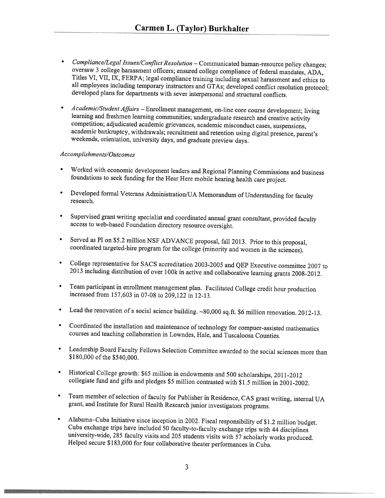- Compliance/Legal Issues/Conflict Resolution Communicated human-resource policy changes; oversaw <sup>3</sup> college harassment officers; ensured college compliance of federal mandates, ADA, Titles VI, VII, IX, FERPA; legal compliance training including sexual harassment and ethics to all employees including temporary instructors and GTAs; developed conflict resolution protocol; developed <sup>p</sup>lans for departments with sever interpersonal and structural conflicts.
- Academic/Student Affairs Enrollment management, on-line core course development; living learning and freshmen learning communities; undergraduate research and creative activity competition; adjudicated academic grievances, academic misconduct cases, suspensions, academic bankruptcy, withdrawals; recruitment and retention using digital presence, parent's weekends, orientation, university days, and graduate preview days.

### Accomplishments/Outcomes

- • Worked with economic development leaders and Regional Planning Commissions and business foundations to seek funding for the Hear Here mobile hearing health care project.
- •Developed formal Veterans Administration/UA Memorandum of Understanding for faculty research.
- • Supervised grant writing specialist and coordinated annual grant consultant, provided faculty access to web-based Foundation directory resource oversight.
- • Served as PT on \$5.2 million NSF ADVANCE proposal, fall 2013. Prior to this proposal, coordinated targeted-hire program for the college (minority and women in the sciences).
- • College representative for SACS accreditation 2003-2005 and QEP Executive committee <sup>2007</sup> to <sup>2013</sup> including distribution of over 100k in active and collaborative learning grants 2008-2012.
- • Team participant in enrollment management <sup>p</sup>lan. Facilitated College credit hour production increased from 157,603 in 07-08 to 209,122 in 12-13.
- •Lead the renovation of a social science building. ~80,000 sq.ft. \$6 million renovation. 2012-13.
- Coordinated the installation and maintenance of technology for compuer-assisted mathematics courses and teaching collaboration in Lowndes, Hale, and Tuscaloosa Counties.
- Leadership Board Faculty Fellows Selection Committee awarded to the social sciences more than \$180,000 of the \$540,000.
- • Historical College growth: \$65 million in endowments and <sup>500</sup> scholarships, 2011-2012 collegiate fund and <sup>g</sup>ifts and <sup>p</sup>ledges \$5 million contrasted with \$1.5 million in 2001-2002.
- Team member of selection of faculty for Publisher in Residence, CAS grant writing, internal UA grant, and Institute for Rural Health Research junior investigators programs.
- • Alabama—Cuba Initiative since inception in 2002. Fiscal responsibility of \$1.2 million budget. Cuba exchange trips have included <sup>50</sup> faculty-to-faculty exchange trips with <sup>44</sup> disciplines university-wide, <sup>285</sup> faculty visits and <sup>205</sup> students visits with <sup>57</sup> scholarly works produced. Helped secure \$183,000 for four collaborative theater performances in Cuba.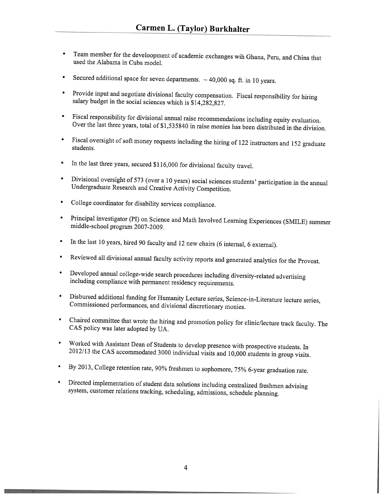- • Team member for the develoopment of academic exchanges wih Ghana, Peru, and China that used the Alabama in Cuba model.
- •Secured additional space for seven departments.  $\sim$  40,000 sq. ft. in 10 years.
- • Provide input and negotiate divisional faculty compensation. Fiscal responsibility for hiring salary budget in the social sciences which is \$14,282,827.
- Fiscal responsibility for divisional annual raise recommendations including equity evaluation. Over the last three years, total of \$l,535840 in raise monies has been distributed in the division.
- • Fiscal oversight of soft money requests including the hiring of <sup>122</sup> instructors and <sup>152</sup> graduate students.
- •In the last three years, secured \$116,000 for divisional faculty travel.
- • Divisional oversight of <sup>573</sup> (over <sup>a</sup> <sup>10</sup> years) social sciences students' participation in the annual Undergraduate Research and Creative Activity Competition.
- •College coordinator for disability services compliance.
- Principal investigator (P1) on Science and Math Involved Learning Experiences (SMILE) summer middle-school program 2007-2009.
- In the last <sup>10</sup> years, hired <sup>90</sup> faculty and <sup>12</sup> new chairs (6 internal, <sup>6</sup> external).
- •Reviewed all divisional annual faculty activity reports and generated analytics for the Provost.
- • Developed annual college-wide search procedures including diversity-related advertising including compliance with permanent residency requirements.
- • Disbursed additional funding for Humanity Lecture series, Science-in-Literature lecture series, Commissioned performances, and divisional discretionary monies.
- Chaired committee that wrote the hiring and promotion policy for clinic/lecture track faculty. The CAS policy was later adopted by UA.
- Worked with Assistant Dean of Students to develop presence with prospective students. In <sup>20</sup> 12/13 the CAS accommodated <sup>3000</sup> individual visits and 10,000 students in group visits.
- •By 2013, College retention rate, 90% freshmen to sophomore, 75% 6-year graduation rate.
- •Directed implementation of student data solutions including centralized freshmen advising system, customer relations tracking, scheduling, admissions, schedule <sup>p</sup>lanning.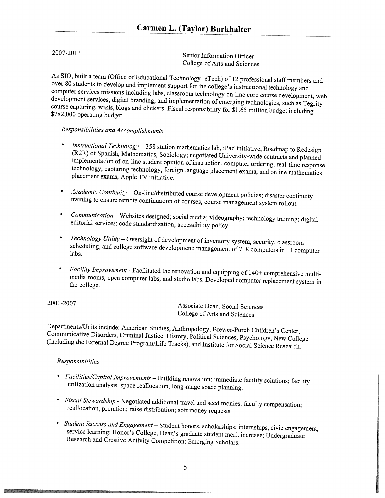2007-2013 Senior Information Officer College of Arts and Sciences

As SlO, built <sup>a</sup> team (Office of Educational Technology- eTech) of <sup>12</sup> professional staff members and over <sup>80</sup> students to develop and implement support for the college's instructional technology and computer services missions including labs, classroom technology on-line core course development, web development services, digital branding, and implementation of emerging technologies, such as Tegrity course capturing, wikis, blogs and clickers. Fiscal responsibility for \$1.65 million budget including \$782,000 operating budget.

# Responsibilities and Accomplishments

- • Instructional Technology — <sup>358</sup> station mathematics lab, iPad initiative, Roadmap to Redesign (R2R) of Spanish, Mathematics, Sociology; negotiated University-wide contracts and <sup>p</sup>lanned implementation of on-line student opinion of instruction, computer ordering, real-time response technology, capturing technology, foreign language <sup>p</sup>lacement exams, and online mathematics <sup>p</sup>lacement exams; Apple TV initiative.
- • Academic Continuity — On-line/distributed course development policies; disaster continuity training to ensure remote continuation of courses; course management system rollout.
- • Communication — Websites designed; social media; videography; technology training; digital editorial services; code standardization; accessibility policy.
- • Technology Utility — Oversight of development of inventory system, security, classroom scheduling, and college software development; management of <sup>718</sup> computers in <sup>11</sup> computer labs.
- • Facility Improvement - Facilitated the renovation and equipping of 140+ comprehensive multi media rooms, open computer labs, and studio labs. Developed computer replacement system in the college.

<sup>200</sup> 1-2007 Associate Dean, Social Sciences College of Arts and Sciences

Departments/Units include: American Studies, Anthropology, Brewer-Porch Children's Center, Communicative Disorders, Criminal Justice, History, Political Sciences, Psychology, New College (Including the External Degree Program/Life Tracks), and Institute for Social Science Research.

### Responsibilities

- Facilities/Capital Improvements Building renovation; immediate facility solutions; facility utilization analysis are seen all  $\ddot{\phantom{a}}$ utilization analysis, space reallocation, long-range space <sup>p</sup>lanning.
- Fiscal Stewardship Negotiated additional travel and seed monies; faculty compensation; reallocation, proration; raise distribution; soft money requests.
- Student Success and Engagement Student honors, scholarships; internships, civic engagement,<br>service learning: Uservice U service learning; Honor's College, Dean's graduate student merit increase; Undergraduate Research and Creative Activity Competition; Emerging Scholars.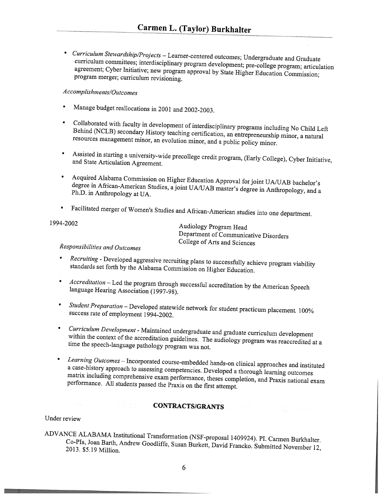• *Curriculum Stewardship/Projects* – Learner-centered outcomes; Undergraduate and Graduate curriculum committees; interdisciplinary program development; pre-college program; articulation agreement; Cyber Initiative; new program approval by State Higher Education Commission; program merger; curriculum revisioning.

## Accomplishments/Outcomes

- •Manage budget reallocations in <sup>2001</sup> and 2002-2003.
- •Behind (NCLB) secondary History teaching certification, an entrepreneurship minor, a natural Collaborated with faculty in development of interdisciplinary programs including No Child Left resources management minor, an evolution minor, and <sup>a</sup> public policy minor.
- • Assisted in starting <sup>a</sup> university-wide precollege credit program, (Early College), Cyber Initiative, and State Articulation Agreement.
- • Acquired Alabama Commission on Higher Education Approval for joint UA/UAB bachelor's Ph.D. in Anthropology at UA. degree in African-American Studies, <sup>a</sup> joint UA/UAB master's degree in Anthropology, and <sup>a</sup>
- Facilitated merger of Women's Studies and African-American studies into one department.

1994-2002 Audiology Program Head Department of Communicative Disorders College of Arts and Sciences

# Responsibilities and Outcomes

- • Recruiting -Developed aggressive recruiting <sup>p</sup>lans to successfully achieve program viability standards set forth by the Alabama Commission on Higher Education.
- • Accreditation — Led the program through successful accreditation by the American Speech language Hearing Association (1997-98).
- •Student Preparation – Developed statewide network for student practicum placement. 100%<br>Success rate of smallery (1994, 2005) success rate of employment 1994-2002.
- *Curriculum Development* Maintained undergraduate and graduate curriculum development<br>within the context of the accorditation is the man with the set of the context of the accorditation is the man time the speech-language pathology program was not. within the context of the accreditation guidelines. The audiology program was reaccredited at a
- • Learning Outcomes — Incorporated course-embedded hands-on clinical approaches and instituted matrix including comprehensive exam performance, theses completion, and Praxis national exam<br>performance, All the last <sup>a</sup> case-history approach to assessing competencies. Developed <sup>a</sup> thorough learning outcomes performance. All students passed the Praxis on the first attempt.

# CONTRACTS/GRANTS CONTRACTS

Under review

ADVANCE ALABAMA Institutional Transformation (NSF-proposal 1409924). P1. Carmen Burkhalter. 2013. \$5.19 Million. Co-PIs, Joan Barth, Andrew Goodliffe, Susan Burkett, David Francko. Submitted November 12,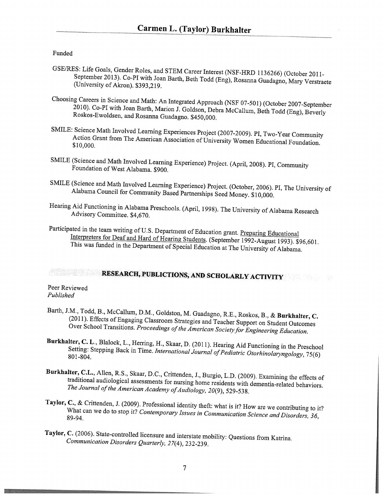#### Funded

- GSE/RES: Life Goals, Gender Roles, and STEM Career Interest (NSF-FTRD 1136266) (October 2011- September 2013). Co-PT with Joan Barth, Beth Todd (Eng), Rosanna Guadagno, Mary Verstraete (University of Akron). \$393,219.
- Choosing Careers in Science and Math: An Integrated Approach (NSF 07-50 1) (October 2007-September 2010). Co-PT with Joan Barth, Marion J. Goidson, Debra McCallum, Beth Todd (Eng), Beverly Roskos-Ewoidsen, and Rosanna Guadagno. \$450,000.
- SMILE: Science Math Involved Learning Experiences Project (2007-2009). PT, Two-Year Community Action Grant from The American Association of University Women Educational Foundation. \$10,000.
- SMILE (Science and Math Involved Learning Experience) Project. (April, 2008). P1, Community Foundation of West Alabama. \$900.
- SMILE (Science and Math Involved Learning Experience) Project. (October, 2006). PI, The University of Alabama Council for Community Based Partnerships Seed Money. \$10,000.
- Hearing Aid Functioning in Alabama Preschools. (April, 1998). The University of Alabama Research Advisory Committee. \$4,670.
- Participated in the team writing of U.S. Department of Education grant. Preparing Educational Interpreters for Deaf and Hard of Hearing Students. (September 1992-August 1993). \$96,601. This was funded in the Department of Special Education at The University of Alabama.

# RESEARCH, PUBLICTIONS, AND SCHOLARLY ACTIVITY

#### Peer Reviewed Published

- Barth, J.M., Todd, B., McCallum, D.M., Goldston, M. Guadagno, R.E., Roskos, B., & Burkhalter, C. (2011). Effects of Engaging Classroom Strategies and Teacher Support on Student Outcomes Over School Transitions. Proceedings of the American Society for Engineering Education.
- Burkhalter, C. L., Blalock, L., Herring, H., Skaar, D. (2011). Hearing Aid Functioning in the Preschool Setting: Stepping Back in Time. International Journal of Pediatric Otorhinolaryngology, 75(6) 80 1-804.
- Burkhalter, C.L., Allen, R.S., Skaar, D.C., Crittenden, J., Burgio, L.D. (2009). Examining the effects of traditional audiological assessments for nursing home residents with dementia-related behaviors. The Journal of the American Academy of Audiology, 20(9), 529-538.
- Taylor, C., & Crittenden, J. (2009). Professional identity theft: what is it? How are we contributing to it?<br>What can we do to stop it? Contemporary Issues is G. What can we do to stop it? Contemporary Issues in Communication Science and Disorders, 36, 89-94.
- Taylor, C. (2006). State-controlled licensure and interstate mobility: Questions from Katrina. Communication Disorders Quarterly, 27(4), 232-239.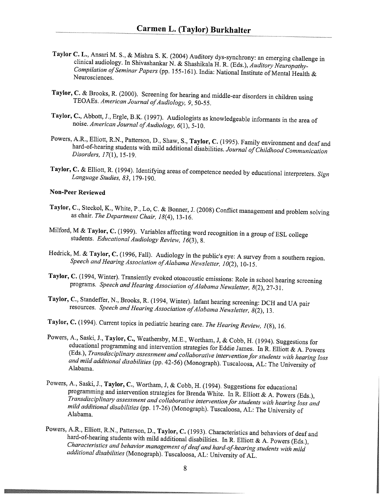- Taylor C. L., Ansari M. S., & Mishra S. K. (2004) Auditory dys-synchrony: an emerging challenge in clinical audiology. In Shivashankar N. & Shashikala H. R. (Eds.), Auditory Neuropathy Compilation of Seminar Papers (pp. 155-161). India: National Institute of Mental Health & Neurosciences.
- Taylor, C. & Brooks, R. (2000). Screening for hearing and middle-ear disorders in children using TEOAEs. American Journal of Audiology, 9, 50-55.
- Taylor, C., Abbott, J., Ergle, B.K. (1997). Audiologists as knowledgeable informants in the area of noise. American Journal of Audiology,  $6(1)$ , 5-10.
- Powers, A.R., Elliott, R.N., Patterson, D., Shaw, S., Taylor, C. (1995). Family environment and deaf and hard-of-hearing students with mild additional disabilities. Journal of Childhood Communication Disorders, 17(1), 15-19.
- Taylor, C. & Elliott, R. (1994). Identifying areas of competence needed by educational interpreters. Sign Language Studies, 83, 179-190.

#### Non-Peer Reviewed

- Taylor, C., Steckol, K., White, P., Lo, C. & Bonner, J. (2008) Conflict management and problem solving as chair. The Department Chair, 18(4), 13-16.
- Milford, M & Taylor, C. (1999). Variables affecting word recognition in a group of ESL college students. Educational Audiology Review, 16(3), 8.
- Hedrick, M. & Taylor, C. (1996, Fall). Audiology in the public's eye: <sup>A</sup> survey from <sup>a</sup> southern region. Speech and Hearing Association of Alabama Newsletter, 10(2), 10-15.
- Taylor, C. (1994, Winter). Transiently evoked otoacoustic emissions: Role in school hearing screening programs. Speech and Hearing Association of Alabama Newsletter,  $8(2)$ , 27-31.
- Taylor, C., Standeffer, N., Brooks, R. (1994, Winter). Infant hearing screening: DCH and UA pair resources. Speech and Hearing Association of Alabama Newsletter,  $8(2)$ , 13.
- Taylor, C. (1994). Current topics in pediatric hearing care. The Hearing Review, 1(8), 16.
- Powers, A., Saski, J., Taylor, C., Weathersby, M.E., Wortham, J, & Cobb, H. (1994). Suggestions for educational programming and intervention strategies for Eddie James. In R. Elliott & A. Powers (Eds.), Transdisciplinary assessment and collaborative intervention for students with hearing loss and mild additional disabilities (pp. 42-56) (Monograph). Tuscaloosa, AL: The University of Alabama.
- Powers, A., Saski, J., Taylor, C., Wortham, J, & Cobb, H. (1994). Suggestions for educational programming and intervention strategies for Brenda White. In R. Elliott & A. Powers (Eds.), Transdisciplinary assessment and collaborative intervention for students with hearing loss and mild additional disabilities (pp. 17-26) (Monograph). Tuscaloosa, AL: The University of Alabama.
- Powers, A.R., Elliott, R.N., Patterson, D., Taylor, C. (1993). Characteristics and behaviors of deaf and hard-of-hearing students with mild additional disabilities. In R. Elliott & A. Powers (Eds.), Characteristics and behavior management of deaf and hard-of-hearing students with mild additional disabilities (Monograph). Tuscaloosa, AL: University of AL.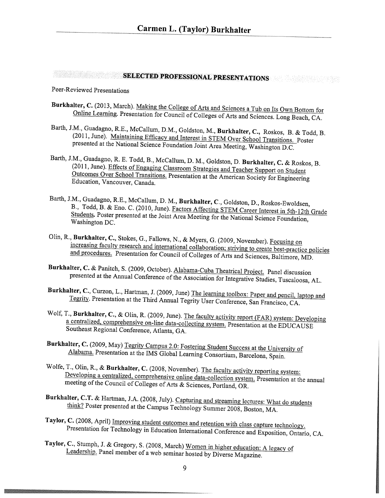# SELECTED PROFESSIONAL PRESENTATIONS

## Peer-Reviewed Presentations

- Burkhalter, C. (2013, March). Making the College of Arts and Sciences <sup>a</sup> Tub on Its Own Bottom for Online Learning. Presentation for Council of Colleges of Arts and Sciences. Long Beach, CA.
- Barth, J.M., Guadagno, R.E., McCallum, D.M., Goldston, M., Burkhalter, C., Roskos, B. & Todd, B. (2011, June). Maintaining Efficacy and Interest in STEM Over School Transitions. Poster presented at the National Science Foundation Joint Area Meeting, Washington D.C.
- Barth, J.M., Guadagno, R. E. Todd, B., McCallum, D. M., Goldston, D. Burkhalter, C. & Roskos, B. (2011, June). Effects of Engaging Classroom Strategies and Teacher Support on Student Outcomes Over School Transitions. Presentation at the American Society for Engineering Education, Vancouver, Canada.
- Barth, J.M., Guadagno, R.E., McCallum, D. M., Burkhalter, C., Goldston, D., Roskos-Ewoldsen, B., Todd, B. & Eno. C. (2010, June). Factors Affecting STEM Career Interest in 5th-l2th Grade Students. Poster presented at the Joint Area Meeting for the National Science Foundation, Washington DC.
- Olin, R., Burkhalter, C., Stokes, G., Fallows, N., & Myers, G. (2009, November). Focusing on increasing faculty research and international collaboration; striving to create best-practice policies and procedures. Presentation for Council of Colleges of Arts and Sciences, Baltimore, MD.
- Burkhalter, C. & Panitch, S. (2009, October). Alabama-Cuba Theatrical Project. Panel discussion presented at the Annual Conference of the Association for Integrative Studies, Tuscaloosa, AL.
- Burkhalter, C., Curzon, L., Hartman, J. (2009, June) The learning toolbox: Paper and pencil, laptop and Tegrity. Presentation at the Third Annual Tegrity User Conference, San Francisco, CA.
- Wolf, T., Burkhalter, C., & Olin, R. (2009, June). The faculty activity report (FAR) system: Developing <sup>a</sup> centralized, comprehensive on-line data-collecting system. Presentation at the EDUCAUSE Southeast Regional Conference, Atlanta, GA.
- Burkhalter, C. (2009, May) Tegrity Campus 2.0: Fostering Student Success at the University of Alabama. Presentation at the IMS Global Learning Consortium, Barcelona, Spain.
- Wolfe, T., Olin, R., & Burkhalter, C. (2008, November). The faculty activity reporting system: Developing a centralized, comprehensive online data-collection system. Presentation at the annual meeting of the Council of Colleges of Arts & Sciences, Portland, OR
- Burkhalter, C.T. & Hartman, J.A. (2008, July). Capturing and streaming lectures: What do students think? Poster presented at the Campus Technology Summer 2008, Boston, MA.
- Taylor, C. (2008, April) Improving student outcomes and retention with class capture technology. Presentation for Technology in Education International Conference and Exposition, Ontario, CA.
- Taylor, C., Stumph, J. & Gregory, S. (2008, March) Women in higher education: A legacy of Leadership. Panel member of <sup>a</sup> web seminar hosted by Diverse Magazine.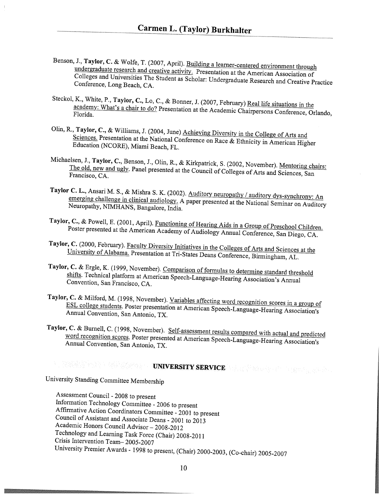- Benson, J., Taylor, C. & Wolfe, T. (2007, April). Building a learner-centered environment through undergraduate research and creative activity. Presentation at the American Association of Colleges and Universities The Student as Scholar: Undergraduate Research and Creative Practice Conference, Long Beach, CA.
- Steckol, K., White, P., Taylor, C., Lo, C., & Bonner, J. (2007, February) Real life situations in the Florida. academy: What's <sup>a</sup> chair to do? Presentation at the Academic Chairpersons Conference, Orlando,
- Olin, R., Taylor, C., & Williams, J. (2004, June) Achieving Diversity in the College of Arts and Education (NCORE), Miami Beach, FL. Sciences. Presentation at the National Conference on Race & Ethnicity in American Higher
- Michaelsen, <sup>1</sup>Sen, J., Taylor, C., Benson, J., Olin, R., & Kirkpatrick, S. (2002, November). <u>Mentoring chairs:</u><br>The old, new and ugly, Panel presented at the G. ... in 6.6. (2002, November). <u>Mentoring chairs</u> Francisco, CA. The old, new and ugly. Panel presented at the Council of Colleges of Arts and Sciences, San
- Taylor C. L., Ansari M. S., & Mishra S. K. (2002). <u>Auditory neuropathy / auditory dys-synchrony:</u> An<br>emerging challenge in clinical audiology. And the emerging challenge in clinical audiology. emerging challenge in clinical audiology. A paper presented at the National Seminar on Auditory<br>Neuropathy, NIMHANS, Bangalore, India Neuropathy, NIMHANS, Bangalore, India.
- Taylor, , C., & Powell, E. (2001, April). <u>Functioning of Hearing Aids in a Group of Preschool Children.</u><br>Poster presented at the American Agedomy of Audi, I. Poster presented at the American Academy of Audiology Annual Conference, San Diego, CA.
- Taylor, C. (2000, February). Faculty Diversity Initiatives in the Colleges of Arts and Sciences at the University of Alphama Duce (i) in This University of Alabama. Presentation at Tri-States Deans Conference, Birmingham, AL
- Taylor, C. & Ergle, K. (1999, November). Comparison of formulas to determine standard threshold Convention, San Francisco, CA. shifts. Technical <sup>p</sup>latform at American Speech-Language-Hearing Association's Annual
- Taylor, ESL C. & Milford, M. (1998, November). <u>Variables affecting word recognition scores in a group of</u><br>SL college students, Poster presentation at American conduction of the scores in a group of college students. Poster presentation at American Speech-Language-Hearing Association's Annual Convention, San Antonio, TX.
- Taylor, C. & Burnell, C. (1998, November). Self-assessment results compared with actual and predicted<br>word recognition scores. Poster presented at Age is a compared with actual and predicted Annual Convention, San Antonio, TX. word recognition scores. Poster presented at American Speech-Language-Hearing Association's

# UNIVERSITY SERVICE AND DESCRIPTION OF REAL PROPERTY OF REAL PROPERTY OF REAL PROPERTY OF REAL PROPERTY OF REAL PROPERTY OF REAL PROPERTY OF REAL PROPERTY OF REAL PROPERTY OF REAL PROPERTY OF REAL PROPERTY OF REAL PROPERTY

University Standing Committee Membership

Assessment Council - <sup>2008</sup> to present Information Technology Committee - <sup>2006</sup> to present Affirmative Action Coordinators Committee - <sup>2001</sup> to present Council of Assistant and Associate Deans - <sup>2001</sup> to <sup>2013</sup> Academic Honors Council Advisor — 2008-20 <sup>12</sup> Technology and Learning Task Force (Chair) 2008-2011 Crisis Intervention Team— 2005-2007 University Premier Awards - <sup>1998</sup> to present, (Chair) 2000-2003, (Co-chair) 2005-2007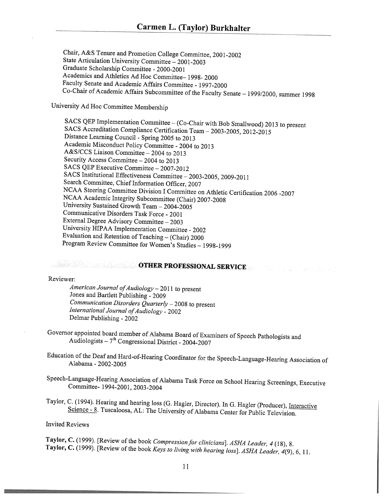Chair, A&S Tenure and Promotion College Committee, <sup>200</sup> 1-2002 State Articulation University Committee — 2001-2003 Graduate Scholarship Committee - 2000-200 <sup>1</sup> Academics and Athletics Ad Hoc Committee— 1998- <sup>2000</sup> Faculty Senate and Academic Affairs Committee - 1997-2000 Co-Chair of Academic Affairs Subcommittee of the Faculty Senate — 1999/2000, summer <sup>1998</sup>

University Ad Hoc Committee Membership

SACS QEP Implementation Committee — (Co-Chair with Bob Smallwood) <sup>2013</sup> to present SACS Accreditation Compliance Certification Team — 2003-2005, 2012-2015 Distance Learning Council - Spring <sup>2005</sup> to <sup>2013</sup> Academic Misconduct Policy Committee - <sup>2004</sup> to <sup>2013</sup> A&S/CCS Liaison Committee — <sup>2004</sup> to 2013 Security Access Committee —2004 to 2013 SACS QEP Executive Committee - 2007-2012 SACS Institutional Effectiveness Committee — 2003-2005, 2009-2011 Search Committee, Chief Information Officer, <sup>2007</sup> NCAA Steering Committee Division <sup>I</sup> Committee on Athletic Certification <sup>2006</sup> -2007 NCAA Academic Integrity Subcommittee (Chair) 2007-2008 University Sustained Growth Team — 2004-2005 Communicative Disorders Task Force - <sup>2001</sup> External Degree Advisory Committee — <sup>2003</sup> University HIPAA Implementation Committee - <sup>2002</sup> Evaluation and Retention of Teaching — (Chair) <sup>2000</sup> Program Review Committee for Women's Studies — 1998-1999

# **OTHER PROFESSIONAL SERVICE**

Reviewer:

American Journal of Audiology - 2011 to present Jones and Bartlett Publishing - <sup>2009</sup> Communication Disorders Quarterly  $-$  2008 to present International Journal of Audiology - 2002 Delmar Publishing - <sup>2002</sup>

- Governor appointed board member of Alabama Board of Examiners of Speech Pathologists and Audiologists –  $7<sup>th</sup>$  Congressional District - 2004-2007
- Education of the Deaf and Hard-of-Hearing Coordinator for the Speech-Language-Hearing Association of Alabama - 2002-2005
- Speech-Language-Hearing Association of Alabama Task Force on School Hearing Screenings, Executive Committee- 1994-2001, 2003-2004

Taylor, C. (1994). Hearing and hearing loss (G. Hagler, Director). In G. Hagler (Producer), Interactive Science - 8. Tuscaloosa, AL: The University of Alabama Center for Public Television.

Invited Reviews

Taylor, C. (1999). [Review of the book Compression for clinicians]. ASHA Leader, 4 (18), 8. Taylor, C. (1999). [Review of the book Keys to living with hearing loss]. ASHA Leader, 4(9), 6, 11.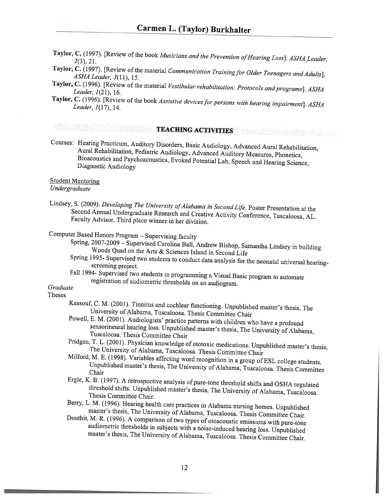- Taylor, C. (1997). [Review of the book Musicians and the Prevention of Hearing Loss]. ASHA Leader, 2(3), 21.
- Taylor, C. (1997). [Review of the material Communication Training for Older Teenagers and Adults]. ASHA Leader, 3(11), 15.
- Taylor, C. (1996). [Review of the material Vestibular rehabilitation: Protocols and programs]. ASHA Leader, 1(21), 16.
- Taylor, C. (1996). [Review of the book Assistive devices for persons with hearing impairment]. ASHA Leader, 1(17), 14.

# TEACHING ACTIVITIES

Courses: Hearing Practicum, Auditory Disorders, Basic Audiology, Advanced Aural Rehabilitation, Aural Rehabilitation, Pediatric Audiology, Advanced Auditory Measures, Phonetics, Bioacoustics and Psychoacoustics, Evoked Potential Lab, Speech and Hearing Science, Diagnostic Audiology

### Student Mentoring

### Undergraduate

Lindsey, S. (2009). Developing The University of Alabama in Second Life. Poster Presentation at the Second Annual Undergraduate Research and Creative Activity Conference, Tuscaloosa, AL. Faculty Advisor. Third <sup>p</sup>lace winner in her division.

# Computer Based Honors Program — Supervising faculty

- Spring, 2007-2009 Supervised Carolina Ball, Andrew Bishop, Samantha Lindsey in building Woods Quad on the Arts & Sciences Island in Second Life
- Spring 1995- Supervised two students to conduct data analysis for the neonatal universal hearingscreening project.
- Fall 1994- Supervised two students in programming <sup>a</sup> Visual Basic program to automate registration of audiometric thresholds on an audiogram.

### Graduate

# Theses

- Kassouf, C. M. (2001). Tinnitus and cochlear functioning. Unpublished master's thesis, The University of Alabama, Tuscaloosa. Thesis Committee Chair
- Powell, E. M. (2001). Audiologists' practice patterns with children who have <sup>a</sup> profound sensorineural hearing loss. Unpublished master's thesis, The University of Alabama, Tuscaloosa. Thesis Committee Chair
- Pridgen, T. L. (2001). Physician knowledge of ototoxic medications. Unpublished master's thesis, The University of Alabama, Tuscaloosa. Thesis Committee Chair
- Milford, M. B. (1998). Variables affecting word recognition in <sup>a</sup> group of ESL college students. Unpublished master's thesis, The University of Alabama, Tuscaloosa. Thesis Committee Chair
- Ergle, K. B. (1997). <sup>A</sup> retrospective analysis of pure-tone threshold shifts and OSHA regulated threshold shifts. Unpublished master's thesis, The University of Alabama, Tuscaloosa. Thesis Committee Chair.
- Berry, L. M. (1996). Hearing health care practices in Alabama nursing homes. Unpublished master's thesis, The University of Alabama, Tuscaloosa. Thesis Committee Chair.
- Douthit, M. R. (1996). <sup>A</sup> comparison of two types of otoacoustic emissions with pure-tone audiometric thresholds in subjects with <sup>a</sup> noise-induced hearing loss. Unpublished master's thesis, The University of Alabama, Tuscaloosa. Thesis Committee Chair.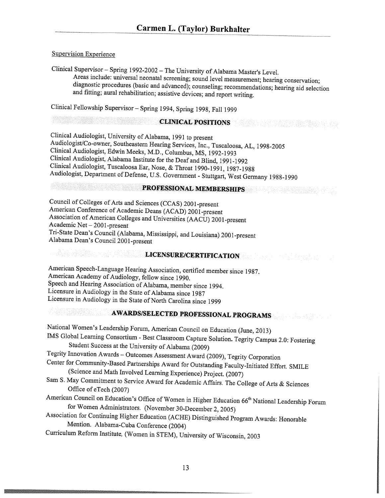### Supervision Experience

Clinical Supervisor — Spring 1992-2002 — The University of Alabama Master's Level. Areas include: universal neonatal screening; sound level measurement; hearing conservation; diagnostic procedures (basic and advanced); counseling; recommendations; hearing aid selection and fitting; aural rehabilitation; assistive devices; and report writing.

Clinical Fellowship Supervisor— Spring 1994, Spring 1998, Fall <sup>1999</sup>

### CLINICAL POSITIONS

Clinical Audiologist, University of Alabama, <sup>1991</sup> to present Audiologist/Co-owner, Southeastern Hearing Services, Inc., Tuscaloosa, AL, 1998-2005 Clinical Audiologist, Edwin Meeks, M.D., Columbus, MS, 1992-1993 Clinical Audiologist, Alabama Institute for the Deaf and Blind, 1991-1992 Clinical Audiologist, Tuscaloosa Ear, Nose, & Throat 1990-1991, 1987-1988 Audiologist, Department of Defense, U.S. Government - Stuttgart, West Germany 1988-1990

# PROFESSIONAL MEMBERSHIPS

Council of Colleges of Arts and Sciences (CCAS) <sup>2001</sup> -present American Conference of Academic Deans (ACAD) 2001-present Association of American Colleges and Universities (AACU) 2001-present Academic Net — 2001-present Tn-State Dean's Council (Alabama, Mississippi, and Louisiana) 2001-present Alabama Dean's Council 2001-present

# LICENSURE/CERTIFICATION

American Speech-Language Hearing Association, certified member since 1987. American Academy of Audiology, fellow since 1990. Speech and Hearing Association of Alabama, member since 1994. Licensure in Audiology in the State of Alabama since <sup>1987</sup> Licensure in Audiology in the State of North Carolina since <sup>1999</sup>

# AWARDS/SELECTED PROFESSIONAL PROGRAMS

National Women's Leadership Forum, American Council on Education (June, 2013) IMS Global Learning Consortium - Best Classroom Capture Solution. Tegrity Campus 2.0: Fostering Student Success at the University of Alabama (2009) Tegrity Innovation Awards - Outcomes Assessment Award (2009), Tegrity Corporation Center for Community-Based Partnerships Award for Outstanding Faculty-Initiated Effort. SMILE (Science and Math Involved Learning Experience) Project. (2007) Sam S. May Commitment to Service Award for Academic Affairs. The College of Arts & Sciences Office of eTech (2007) American Council on Education's Office of Women in Higher Education 66<sup>th</sup> National Leadership Forum for Women Administrators. (November 30-December 2, 2005) Association for Continuing Higher Education (ACHE) Distinguished Program Awards: Honorable Mention. Alabama-Cuba Conference (2004)

Curriculum Reform Institute, (Women in STEM), University of Wisconsin, <sup>2003</sup>